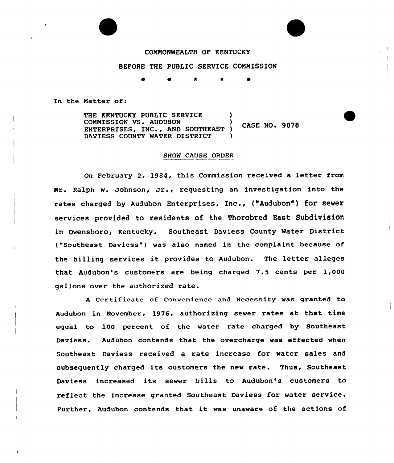## COMMONWEALTH OF KENTUCKY

## BEFORE THE PUBLIC SERVICE COMMISSION

0 \* \* 0

In the Matter of:

THE KENTUCKY PUBLIC SERVICE COMMISSION VS. AUDUBON CASE NO. 9078 ENTERPRISES, INC., AND SOUTHEAST ) DAVIESS COUNTY WATER DISTRICT

## SHOW CAUSE ORDER

On February 2, 1984, this Commission received a letter from Mr. Ralph W. Johnson, Jr., requesting an investigation into the rates charged by Audubon Enterprises, Inc., ("Audubon") for sewer services provided to residents of the Thorobred East Subdivision in Owensboro, Kentucky. Southeast Daviess County Water District ("Southeast Daviess") was also named in the complaint because of the billing services it provides to Audubon. The letter alleges that Audubon's customers are being charged 7.5 cents per 1,000 gallons over the authorized rate.

<sup>A</sup> Certificate of Convenience and Necessity was granted to Audubon in November, 1976, authorizing sewer rates at that time equal to 100 percent of the water rate charged by Southeast Daviess. Audubon contends that the overcharge was effected when Southeast Daviess received a rate increase for water sales and subsequently charged its customers the new rate. Thus, Southeast Daviess increased its sewer bills to Audubon's customers to reflect the increase granted Southeast Daviess for water service. Further, Audubon contends that it was unaware of the actions of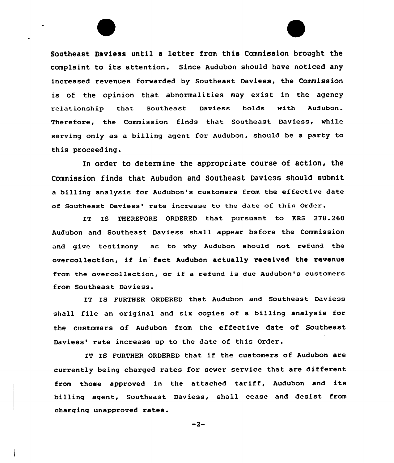

In order to determine the appropriate course of action, the Commission finds that Aubudon and Southeast Daviess should submit a billing analysis for Audubon's customers from the effective date of Southeast Daviess' rate increase to the date of this Order.

IT IS THEREFORE ORDERED that pursuant to KRS 278.260 Audubon and Southeast Daviess shall appear before the Commission and give testimony as to why Audubon should not refund the overcollection, if in fact Audubon actually received the revenue from the avercollection, or if <sup>a</sup> refund is due Audubon's customers from Southeast Daviess.

IT IS FURTHER ORDERED that Audubon and Southeast Daviess shall file an original and six copies of a billing analysis fox the customers of Audubon from the effective date of Southeast Daviess' rate increase up to the date of this Order.

IT IS FURTHER ORDERED that if the customers of Audubon are currently being charged rates for sewer service that are different from those approved in the attached tariff, Audubon and its billing agent, Southeast Daviess, shall cease and desist from charging unapproved rates.

 $-2-$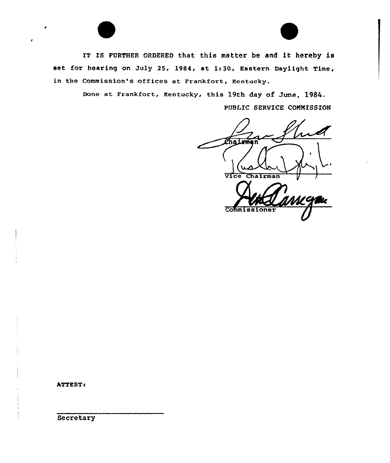IT Is FURTHER oRDERED that this matter be and it hereby is set for hearing on July 25, 1984, at 1:30, Eastern Daylight Time, in the Commission's offices at Frankfort, Kentucky.

> Done at Frankfort, Kentucky, this 19th day of June, 1984. PUBLIC SERVICE COMMISSION

*Chairm* Vice Chairman **Commiss** 

ATTEST:

Secretary